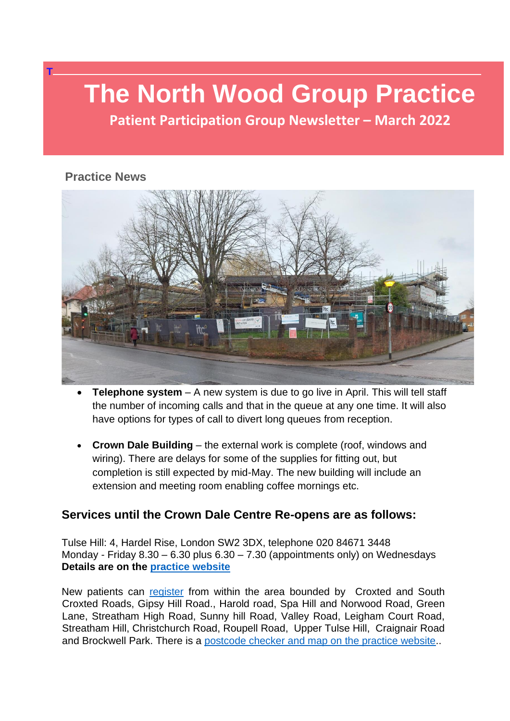# **The North Wood Group Practice**

**Patient Participation Group Newsletter – March 2022**

#### **Practice News**

**T**



- **Telephone system** A new system is due to go live in April. This will tell staff the number of incoming calls and that in the queue at any one time. It will also have options for types of call to divert long queues from reception.
- **Crown Dale Building** the external work is complete (roof, windows and wiring). There are delays for some of the supplies for fitting out, but completion is still expected by mid-May. The new building will include an extension and meeting room enabling coffee mornings etc.

#### **Services until the Crown Dale Centre Re-opens are as follows:**

Tulse Hill: 4, Hardel Rise, London SW2 3DX, telephone 020 84671 3448 Monday - Friday 8.30 – 6.30 plus 6.30 – 7.30 (appointments only) on Wednesdays **Details are on the [practice website](https://northwoodgrouppractice.co.uk/)**

New patients can [register](file:///C:/Users/PhilipVirgo/Documents/PhilipVirgo26092017/DWNCA/New%20Patient%20Registration%20|%20North%20Wood%20Group) from within the area bounded by Croxted and South Croxted Roads, Gipsy Hill Road., Harold road, Spa Hill and Norwood Road, Green Lane, Streatham High Road, Sunny hill Road, Valley Road, Leigham Court Road, Streatham Hill, Christchurch Road, Roupell Road, Upper Tulse Hill, Craignair Road and Brockwell Park. There is a [postcode checker and map on the practice website.](https://northwoodgrouppractice.co.uk/practice-information/practice-boundary/).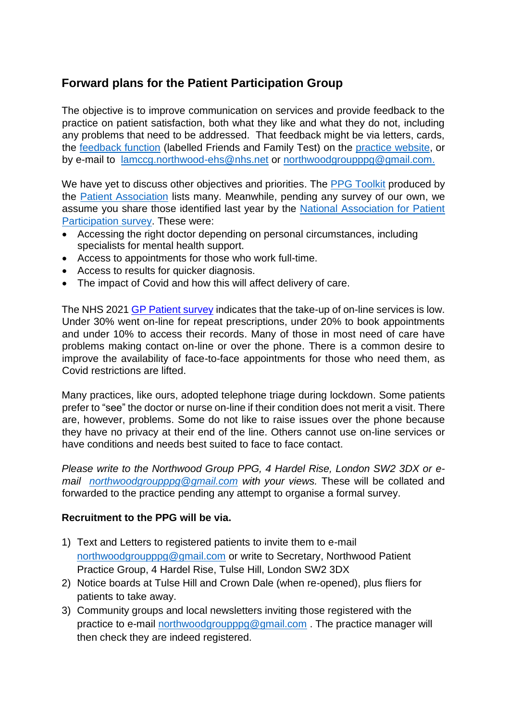### **Forward plans for the Patient Participation Group**

The objective is to improve communication on services and provide feedback to the practice on patient satisfaction, both what they like and what they do not, including any problems that need to be addressed. That feedback might be via letters, cards, the [feedback function](https://northwoodgrouppractice.co.uk/nhs-friends-and-family-test/) (labelled Friends and Family Test) on the [practice website,](https://northwoodgrouppractice.co.uk/) or by e-mail to [lamccg.northwood-ehs@nhs.net](mailto:lamccg.northwood-ehs@nhs.net) or [northwoodgroupppg@gmail.com.](mailto:northwoodgroupppg@gmail.com)

We have yet to discuss other objectives and priorities. The [PPG Toolkit](https://www.patients-association.org.uk/Handlers/Download.ashx?IDMF=3a099b36-93af-4582-a267-d4806ddbb1f8) produced by the [Patient Association](https://www.patients-association.org.uk/) lists many. Meanwhile, pending any survey of our own, we assume you share those identified last year by the [National Association for Patient](https://napp.org.uk/survey-on-patient-policy-priorities-and-resources-results-and-next-steps/)  [Participation](https://napp.org.uk/survey-on-patient-policy-priorities-and-resources-results-and-next-steps/) survey. These were:

- Accessing the right doctor depending on personal circumstances, including specialists for mental health support.
- Access to appointments for those who work full-time.
- Access to results for quicker diagnosis.
- The impact of Covid and how this will affect delivery of care.

The NHS 2021 [GP Patient survey](https://napp.org.uk/outcome-of-the-2021-gp-patient-survey/) indicates that the take-up of on-line services is low. Under 30% went on-line for repeat prescriptions, under 20% to book appointments and under 10% to access their records. Many of those in most need of care have problems making contact on-line or over the phone. There is a common desire to improve the availability of face-to-face appointments for those who need them, as Covid restrictions are lifted.

Many practices, like ours, adopted telephone triage during lockdown. Some patients prefer to "see" the doctor or nurse on-line if their condition does not merit a visit. There are, however, problems. Some do not like to raise issues over the phone because they have no privacy at their end of the line. Others cannot use on-line services or have conditions and needs best suited to face to face contact.

*Please write to the Northwood Group PPG, 4 Hardel Rise, London SW2 3DX or email [northwoodgroupppg@gmail.com](mailto:northwoodgroupppg@gmail.com) with your views.* These will be collated and forwarded to the practice pending any attempt to organise a formal survey.

#### **Recruitment to the PPG will be via.**

- 1) Text and Letters to registered patients to invite them to e-mail [northwoodgroupppg@gmail.com](mailto:northwoodgroupppg@gmail.com) or write to Secretary, Northwood Patient Practice Group, 4 Hardel Rise, Tulse Hill, London SW2 3DX
- 2) Notice boards at Tulse Hill and Crown Dale (when re-opened), plus fliers for patients to take away.
- 3) Community groups and local newsletters inviting those registered with the practice to e-mail [northwoodgroupppg@gmail.com](mailto:northwoodgroupppg@gmail.com) . The practice manager will then check they are indeed registered.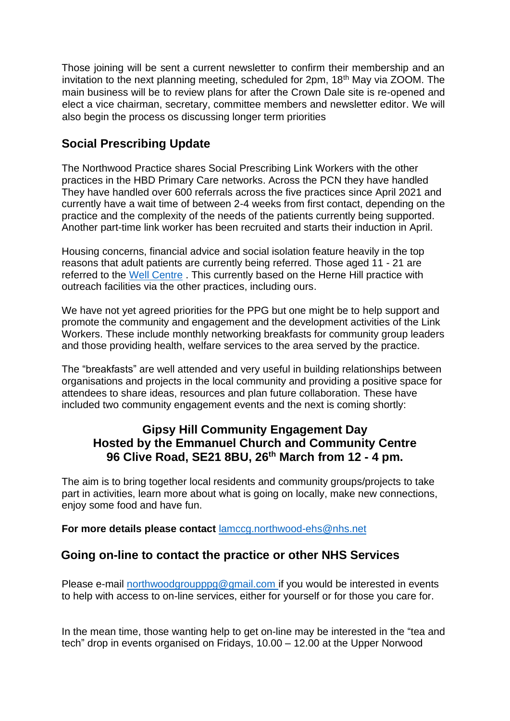Those joining will be sent a current newsletter to confirm their membership and an invitation to the next planning meeting, scheduled for 2pm, 18th May via ZOOM. The main business will be to review plans for after the Crown Dale site is re-opened and elect a vice chairman, secretary, committee members and newsletter editor. We will also begin the process os discussing longer term priorities

#### **Social Prescribing Update**

The Northwood Practice shares Social Prescribing Link Workers with the other practices in the HBD Primary Care networks. Across the PCN they have handled They have handled over 600 referrals across the five practices since April 2021 and currently have a wait time of between 2-4 weeks from first contact, depending on the practice and the complexity of the needs of the patients currently being supported. Another part-time link worker has been recruited and starts their induction in April.

Housing concerns, financial advice and social isolation feature heavily in the top reasons that adult patients are currently being referred. Those aged 11 - 21 are referred to the [Well Centre](https://www.thewellcentre.org/about-the-well-centre/). This currently based on the Herne Hill practice with outreach facilities via the other practices, including ours.

We have not yet agreed priorities for the PPG but one might be to help support and promote the community and engagement and the development activities of the Link Workers. These include monthly networking breakfasts for community group leaders and those providing health, welfare services to the area served by the practice.

The "breakfasts" are well attended and very useful in building relationships between organisations and projects in the local community and providing a positive space for attendees to share ideas, resources and plan future collaboration. These have included two community engagement events and the next is coming shortly:

#### **Gipsy Hill Community Engagement Day Hosted by the Emmanuel Church and Community Centre 96 Clive Road, SE21 8BU, 26th March from 12 - 4 pm.**

The aim is to bring together local residents and community groups/projects to take part in activities, learn more about what is going on locally, make new connections, enjoy some food and have fun.

**For more details please contact** [lamccg.northwood-ehs@nhs.net](mailto:lamccg.northwood-ehs@nhs.net)

#### **Going on-line to contact the practice or other NHS Services**

Please e-mail [northwoodgroupppg@gmail.com](mailto:northwoodgroupppg@gmail.com) if you would be interested in events to help with access to on-line services, either for yourself or for those you care for.

In the mean time, those wanting help to get on-line may be interested in the "tea and tech" drop in events organised on Fridays, 10.00 – 12.00 at the Upper Norwood